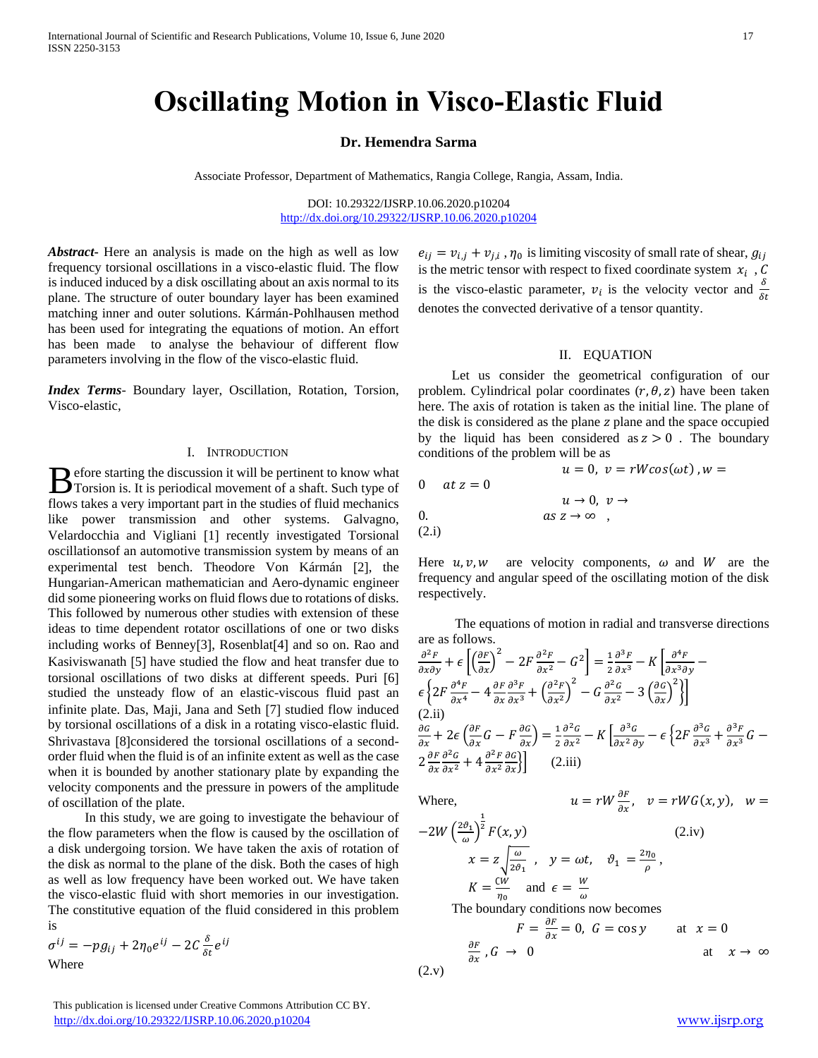# **Oscillating Motion in Visco-Elastic Fluid**

# **Dr. Hemendra Sarma**

Associate Professor, Department of Mathematics, Rangia College, Rangia, Assam, India.

DOI: 10.29322/IJSRP.10.06.2020.p10204 <http://dx.doi.org/10.29322/IJSRP.10.06.2020.p10204>

*Abstract***-** Here an analysis is made on the high as well as low frequency torsional oscillations in a visco-elastic fluid. The flow is induced induced by a disk oscillating about an axis normal to its plane. The structure of outer boundary layer has been examined matching inner and outer solutions. Kármán-Pohlhausen method has been used for integrating the equations of motion. An effort has been made to analyse the behaviour of different flow parameters involving in the flow of the visco-elastic fluid.

*Index Terms*- Boundary layer, Oscillation, Rotation, Torsion, Visco-elastic,

#### I. INTRODUCTION

 $\Box$  efore starting the discussion it will be pertinent to know what B efore starting the discussion it will be pertinent to know what<br>Torsion is. It is periodical movement of a shaft. Such type of flows takes a very important part in the studies of fluid mechanics like power transmission and other systems. Galvagno, Velardocchia and Vigliani [1] recently investigated Torsional oscillationsof an automotive transmission system by means of an experimental test bench. Theodore Von Kármán [2], the Hungarian-American mathematician and Aero-dynamic engineer did some pioneering works on fluid flows due to rotations of disks. This followed by numerous other studies with extension of these ideas to time dependent rotator oscillations of one or two disks including works of Benney[3], Rosenblat[4] and so on. Rao and Kasiviswanath [5] have studied the flow and heat transfer due to torsional oscillations of two disks at different speeds. Puri [6] studied the unsteady flow of an elastic-viscous fluid past an infinite plate. Das, Maji, Jana and Seth [7] studied flow induced by torsional oscillations of a disk in a rotating visco-elastic fluid. Shrivastava [8] considered the torsional oscillations of a secondorder fluid when the fluid is of an infinite extent as well as the case when it is bounded by another stationary plate by expanding the velocity components and the pressure in powers of the amplitude of oscillation of the plate.

 In this study, we are going to investigate the behaviour of the flow parameters when the flow is caused by the oscillation of a disk undergoing torsion. We have taken the axis of rotation of the disk as normal to the plane of the disk. Both the cases of high as well as low frequency have been worked out. We have taken the visco-elastic fluid with short memories in our investigation. The constitutive equation of the fluid considered in this problem is

$$
\sigma^{ij} = -p g_{ij} + 2\eta_0 e^{ij} - 2C \frac{\delta}{\delta t} e^{ij}
$$

Where

 $e_{ij} = v_{i,j} + v_{j,i}$ ,  $\eta_0$  is limiting viscosity of small rate of shear,  $g_{ij}$ is the metric tensor with respect to fixed coordinate system  $x_i$ , C is the visco-elastic parameter,  $v_i$  is the velocity vector and  $\frac{\delta}{\delta t}$ denotes the convected derivative of a tensor quantity.

# II. EQUATION

 Let us consider the geometrical configuration of our problem. Cylindrical polar coordinates  $(r, \theta, z)$  have been taken here. The axis of rotation is taken as the initial line. The plane of the disk is considered as the plane z plane and the space occupied by the liquid has been considered as  $z > 0$ . The boundary conditions of the problem will be as

$$
u = 0, v = rW\cos(\omega t), w = 0
$$
  
 
$$
u \to 0, v \to 0
$$
  
0.  
 
$$
as z \to \infty ,
$$
  
 (2.i)

Here  $u, v, w$  are velocity components,  $\omega$  and W are the frequency and angular speed of the oscillating motion of the disk respectively.

 The equations of motion in radial and transverse directions are as follows.

$$
\frac{\partial^2 F}{\partial x \partial y} + \epsilon \left[ \left( \frac{\partial F}{\partial x} \right)^2 - 2F \frac{\partial^2 F}{\partial x^2} - G^2 \right] = \frac{1}{2} \frac{\partial^3 F}{\partial x^3} - K \left[ \frac{\partial^4 F}{\partial x^3 \partial y} - \epsilon \left\{ 2F \frac{\partial^4 F}{\partial x^4} - 4 \frac{\partial F}{\partial x} \frac{\partial^3 F}{\partial x^3} + \left( \frac{\partial^2 F}{\partial x^2} \right)^2 - G \frac{\partial^2 G}{\partial x^2} - 3 \left( \frac{\partial G}{\partial x} \right)^2 \right\} \right]
$$
\n(2.ii)  
\n
$$
\frac{\partial G}{\partial x} + 2\epsilon \left( \frac{\partial F}{\partial x} G - F \frac{\partial G}{\partial x} \right) = \frac{1}{2} \frac{\partial^2 G}{\partial x^2} - K \left[ \frac{\partial^3 G}{\partial x^2 \partial y} - \epsilon \left\{ 2F \frac{\partial^3 G}{\partial x^3} + \frac{\partial^3 F}{\partial x^3} G - 2 \frac{\partial F}{\partial x} \frac{\partial^2 G}{\partial x^2} + 4 \frac{\partial^2 F}{\partial x^2} \frac{\partial G}{\partial x} \right\} \right]
$$
\n(2.iii)

Where, 
$$
u = rW \frac{\partial F}{\partial x}, \quad v = rWG(x, y), \quad w =
$$

$$
-2W\left(\frac{2\vartheta_1}{\omega}\right)^{\frac{1}{2}}F(x,y)
$$
\n
$$
x = z\sqrt{\frac{\omega}{2\vartheta_1}}, \quad y = \omega t, \quad \vartheta_1 = \frac{2\eta_0}{\rho},
$$
\n
$$
K = \frac{CW}{\eta_0} \quad \text{and} \quad \epsilon = \frac{W}{\omega}
$$
\nThe boundary conditions now becomes

 The boundary conditions now becomes  $2r$ 

$$
F = \frac{\partial F}{\partial x} = 0, \ G = \cos y \qquad \text{at } x = 0
$$
  

$$
\frac{\partial F}{\partial x}, G \to 0 \qquad \text{at } x \to \infty
$$
  
(2.v)

 This publication is licensed under Creative Commons Attribution CC BY. <http://dx.doi.org/10.29322/IJSRP.10.06.2020.p10204> [www.ijsrp.org](http://ijsrp.org/)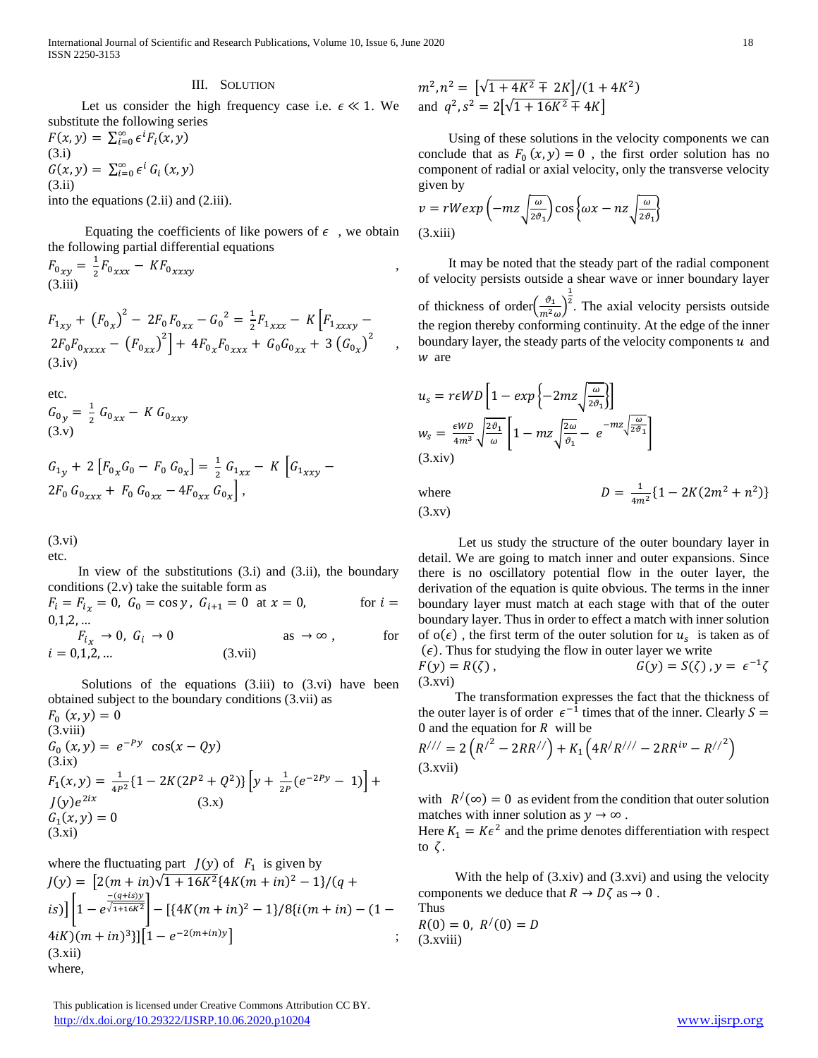International Journal of Scientific and Research Publications, Volume 10, Issue 6, June 2020 18 ISSN 2250-3153

## III. SOLUTION

Let us consider the high frequency case i.e.  $\epsilon \ll 1$ . We substitute the following series

$$
F(x, y) = \sum_{i=0}^{\infty} \epsilon^{i} F_{i}(x, y)
$$
  
(3.i)  

$$
G(x, y) = \sum_{i=0}^{\infty} \epsilon^{i} G_{i}(x, y)
$$
  
(3.ii)  
into the equations (2.ii) and (2.iii).

Equating the coefficients of like powers of  $\epsilon$ , we obtain the following partial differential equations

$$
F_{0xy} = \frac{1}{2} F_{0xxx} - K F_{0xxxx}
$$
  
(3.iii)

$$
F_{1xy} + (F_{0x})^2 - 2F_0 F_{0xx} - G_0^2 = \frac{1}{2} F_{1xxx} - K \Big[ F_{1xxxx} - 2F_0 F_{0xxxx} - (F_{0xx})^2 \Big] + 4F_{0x} F_{0xxx} + G_0 G_{0xx} + 3 (G_{0x})^2
$$
  
(3.iv)

etc.

 $G_{0y} = \frac{1}{2}$  $\frac{1}{2} G_{0xx} - K G_{0xxy}$ (3.v)

$$
G_{1y} + 2 [F_{0x} G_0 - F_0 G_{0x}] = \frac{1}{2} G_{1xx} - K [G_{1xxy} - 2F_0 G_{0xx} + F_0 G_{0xx} - 4F_{0xx} G_{0x}],
$$

(3.vi) etc.

In view of the substitutions  $(3.i)$  and  $(3.ii)$ , the boundary conditions (2.v) take the suitable form as  $F_i = F_{i_x} = 0$ ,  $G_0 = \cos y$ ,  $G_{i+1} = 0$  at  $x = 0$ , for  $i =$ 

 $0,1,2,...$  $F_{i_x} \to 0$ ,  $G_i \to 0$  as  $\to \infty$ , for  $i = 0,1,2,...$  (3.vii)

Solutions of the equations  $(3.iii)$  to  $(3.vi)$  have been obtained subject to the boundary conditions (3.vii) as

$$
F_0(x, y) = 0
$$
  
(3. viii)  

$$
G_0(x, y) = e^{-Py} \cos(x - Qy)
$$
  
(3.ix)  

$$
F_1(x, y) = \frac{1}{4P^2} \{1 - 2K(2P^2 + Q^2)\} \left[y + \frac{1}{2P}(e^{-2Py} - 1)\right] +
$$
  

$$
J(y)e^{2ix}
$$
  
(3. x)  

$$
G_1(x, y) = 0
$$
  
(3. xi)

where the fluctuating part 
$$
J(y)
$$
 of  $F_1$  is given by  
\n
$$
J(y) = \left[2(m + in)\sqrt{1 + 16K^2}\left\{4K(m + in)^2 - 1\right\}/(q + is)\right] \left[1 - e^{\frac{-(q + is)y}{\sqrt{1 + 16K^2}}}\right] - \left[\left\{4K(m + in)^2 - 1\right\}/8\left\{i(m + in) - (1 - 4iK)(m + in)^3\right\}\right] \left[1 - e^{-2(m + in)y}\right]
$$
\n(3.xii)  
\nwhere,

 This publication is licensed under Creative Commons Attribution CC BY. <http://dx.doi.org/10.29322/IJSRP.10.06.2020.p10204> [www.ijsrp.org](http://ijsrp.org/)

$$
m2, n2 = [\sqrt{1 + 4K2} \mp 2K]/(1 + 4K2)
$$
  
and  $q2, s2 = 2[\sqrt{1 + 16K2} \mp 4K]$ 

 Using of these solutions in the velocity components we can conclude that as  $F_0(x, y) = 0$ , the first order solution has no component of radial or axial velocity, only the transverse velocity given by

$$
v = rW \exp\left(-mz \sqrt{\frac{\omega}{2\vartheta_1}}\right) \cos\left\{\omega x - nz \sqrt{\frac{\omega}{2\vartheta_1}}\right\}
$$
  
(3.xiii)

,

 It may be noted that the steady part of the radial component of velocity persists outside a shear wave or inner boundary layer of thickness of order $\left(\frac{\vartheta_1}{m^2}\right)$  $\frac{\nu_1}{m^2\omega}$  $\frac{1}{2}$ . The axial velocity persists outside the region thereby conforming continuity. At the edge of the inner boundary layer, the steady parts of the velocity components  $u$  and w are

$$
u_s = r \epsilon W D \left[ 1 - \exp \left\{-2mz \sqrt{\frac{\omega}{2\theta_1}} \right\} \right]
$$
  
\n
$$
w_s = \frac{\epsilon w D}{4m^3} \sqrt{\frac{2\theta_1}{\omega}} \left[ 1 - mz \sqrt{\frac{2\omega}{\theta_1} - e^{-mz} \sqrt{\frac{\omega}{2\theta_1}}} \right]
$$
  
\n(3.xiv)

where 
$$
D = \frac{1}{4m^2} \{1 - 2K(2m^2 + n^2)\}
$$
 (3.xv)

 Let us study the structure of the outer boundary layer in detail. We are going to match inner and outer expansions. Since there is no oscillatory potential flow in the outer layer, the derivation of the equation is quite obvious. The terms in the inner boundary layer must match at each stage with that of the outer boundary layer. Thus in order to effect a match with inner solution of  $o(\epsilon)$ , the first term of the outer solution for  $u_s$  is taken as of  $(\epsilon)$ . Thus for studying the flow in outer layer we write  $F(y) = R(\zeta)$ ,  $G(y) = S(\zeta)$ ,  $y = \epsilon^{-1}\zeta$ (3.xvi)

 The transformation expresses the fact that the thickness of the outer layer is of order  $\epsilon^{-1}$  times that of the inner. Clearly  $S =$ 0 and the equation for  $R$  will be

$$
R^{///} = 2\left(R^{/2} - 2RR^{//}\right) + K_1\left(4R^/R^{//} - 2RR^{iv} - R^{//^2}\right)
$$
  
(3.xvii)

with  $R'(\infty) = 0$  as evident from the condition that outer solution matches with inner solution as  $y \to \infty$ .

Here  $K_1 = K\epsilon^2$  and the prime denotes differentiation with respect to  $\zeta$ .

With the help of  $(3.xiv)$  and  $(3.xvi)$  and using the velocity components we deduce that  $R \to D\zeta$  as  $\to 0$ . Thus

$$
R(0) = 0, R'(0) = D
$$
  
(3.xviii)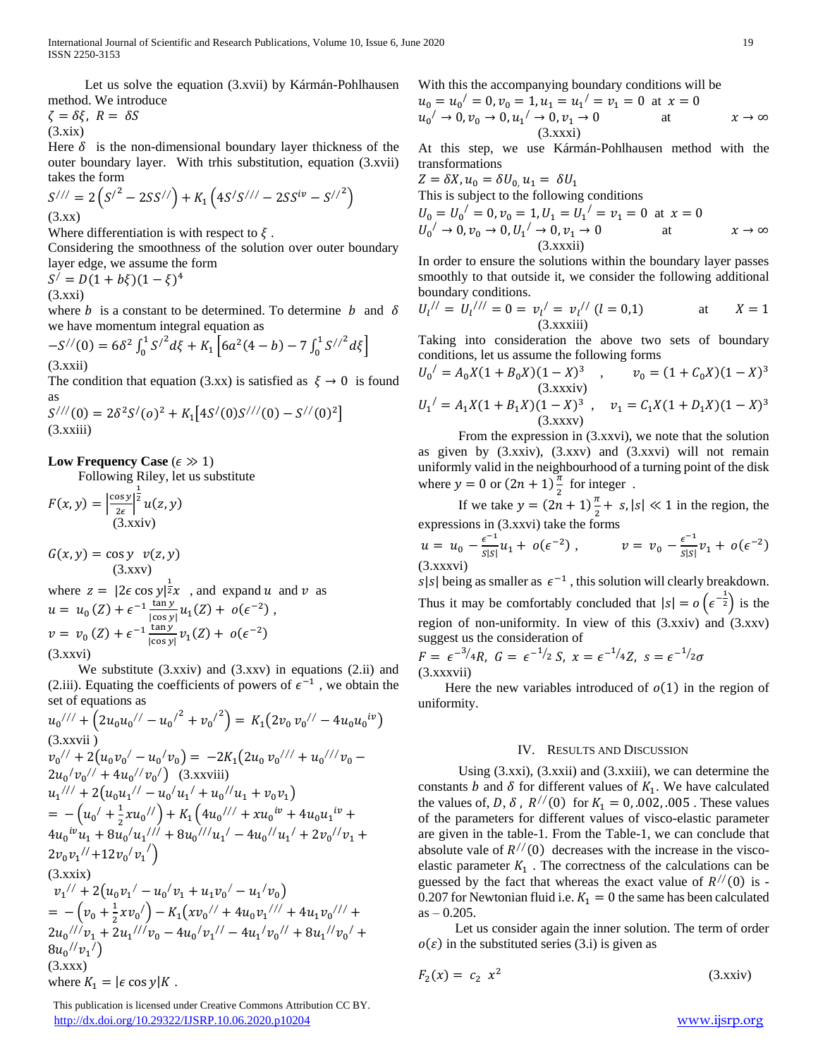International Journal of Scientific and Research Publications, Volume 10, Issue 6, June 2020 19 ISSN 2250-3153

 Let us solve the equation (3.xvii) by Kármán-Pohlhausen method. We introduce

 $\zeta = \delta \xi$ ,  $R = \delta S$ (3.xix)

Here  $\delta$  is the non-dimensional boundary layer thickness of the outer boundary layer. With trhis substitution, equation (3.xvii) takes the form

$$
S^{//} = 2(S^{2} - 2SS^{//}) + K_{1} (4S^{2}/S^{//} - 2SS^{iv} - S^{//}^{2})
$$
\n(3.xx)

Where differentiation is with respect to  $\xi$ .

Considering the smoothness of the solution over outer boundary layer edge, we assume the form

 $S^2 = D(1 + b\xi)(1 - \xi)^4$ 

(3.xxi)

where b is a constant to be determined. To determine b and  $\delta$ we have momentum integral equation as

$$
-S^{//}(0) = 6\delta^2 \int_0^1 S^{2/d} \xi + K_1 \left[ 6a^2(4-b) - 7 \int_0^1 S^{2/d} \xi \right]
$$
  
(3.xxii)

The condition that equation (3.xx) is satisfied as  $\xi \to 0$  is found as

$$
S^{///}(0) = 2\delta^2 S'(o)^2 + K_1[4S'(0)S^{///}(0) - S^{//}(0)^2]
$$
  
(3.xxiii)

**Low Frequency Case** ( $\epsilon \gg 1$ )

Following Riley, let us substitute

$$
F(x,y) = \left|\frac{\cos y}{2\epsilon}\right|^{\frac{1}{2}} u(z,y)
$$
\n
$$
(3.xxiv)
$$

 $G(x, y) = \cos y \, v(z, y)$  (3.xxv) where  $z = |2\epsilon \cos y|^{\frac{1}{2}}x$ , and expand u and v as  $u = u_0(Z) + \epsilon^{-1} \frac{\tan y}{\cos y}$  $\frac{\tan y}{\left|\cos y\right|}u_1(Z) + o(\epsilon^{-2}),$  $v = v_0(Z) + \epsilon^{-1} \frac{\tan y}{\cos y}$  $\frac{\tan y}{|\cos y|}v_1(Z) + o(\epsilon^{-2})$ (3.xxvi)

 We substitute (3.xxiv) and (3.xxv) in equations (2.ii) and (2.iii). Equating the coefficients of powers of  $\epsilon^{-1}$ , we obtain the set of equations as

$$
u_0^{///} + (2u_0u_0^{//} - u_0^{/2} + v_0^{/2}) = K_1(2v_0v_0^{//} - 4u_0u_0^{iv})
$$
  
(3.xxvii)  

$$
v_0^{//} + 2(u_0v_0^{/} - u_0^{/}v_0) = -2K_1(2u_0v_0^{//} + u_0^{///}v_0 - 2u_0^{/}v_0^{//} + 4u_0^{//}v_0^{/})
$$
 (3.xxviii)  

$$
u_1^{//} + 2(u_0u_1^{//} - u_0^{/}u_1^{/} + u_0^{//}u_1 + v_0v_1)
$$
  

$$
= -(u_0^{/} + \frac{1}{2}xu_0^{//}) + K_1(4u_0^{//} + xu_0^{iv} + 4u_0u_1^{iv} + 4u_0^{iv}u_1 + 8u_0^{/}u_1^{//} + 8u_0^{//}u_1^{/} - 4u_0^{//}u_1^{/} + 2v_0^{//}v_1 + 2v_0v_1^{/}/)
$$
  
(3.xxix)  

$$
v_1^{//} + 2(u_0v_1^{/} - u_0^{/}v_1 + u_1v_0^{/} - u_1^{/}v_0)
$$
  

$$
= -(v_0 + \frac{1}{2}xv_0^{/}) - K_1(xv_0^{//} + 4u_0v_1^{//} + 4u_1v_0^{///} + 8u_1^{//}v_0^{/}/ + 8u_0^{//}v_1^{/})
$$
  
(3.xxx)  
where  $K_1 = |\epsilon \cos y|K$ .

 This publication is licensed under Creative Commons Attribution CC BY. <http://dx.doi.org/10.29322/IJSRP.10.06.2020.p10204> [www.ijsrp.org](http://ijsrp.org/)

With this the accompanying boundary conditions will be

$$
u_0 = u_0' = 0, v_0 = 1, u_1 = u_1' = v_1 = 0 \text{ at } x = 0
$$
  
\n
$$
u_0' \to 0, v_0 \to 0, u_1' \to 0, v_1 \to 0 \text{ at } x \to \infty
$$
  
\n(3.xxxi)

At this step, we use Kármán-Pohlhausen method with the transformations

$$
Z = \delta X, u_0 = \delta U_0, u_1 = \delta U_1
$$
  
This is subject to the following conditions  

$$
U_0 = U_0^{\prime} = 0, v_0 = 1, U_1 = U_1^{\prime} = v_1 = 0 \text{ at } x = 0
$$

$$
U_0^{\prime} \rightarrow 0, v_0 \rightarrow 0, U_1^{\prime} \rightarrow 0, v_1 \rightarrow 0 \text{ at } x \rightarrow \infty
$$

$$
(3.xxxii)
$$

In order to ensure the solutions within the boundary layer passes smoothly to that outside it, we consider the following additional boundary conditions.

$$
U_l^{//} = U_l^{//} = 0 = v_l^{/} = v_l^{//} (l = 0.1)
$$
 at  $X = 1$  (3.xxxiii)

Taking into consideration the above two sets of boundary conditions, let us assume the following forms

$$
U_0{}^/ = A_0 X (1 + B_0 X)(1 - X)^3 , \qquad v_0 = (1 + C_0 X)(1 - X)^3
$$
  
(3.xxxiv)  

$$
U_1{}^/ = A_1 X (1 + B_1 X)(1 - X)^3 , \qquad v_1 = C_1 X (1 + D_1 X)(1 - X)^3
$$
  
(3.xxxv)

 From the expression in (3.xxvi), we note that the solution as given by (3.xxiv), (3.xxv) and (3.xxvi) will not remain uniformly valid in the neighbourhood of a turning point of the disk where  $y = 0$  or  $(2n + 1)\frac{\pi}{2}$  $\frac{\pi}{2}$  for integer.

If we take  $y = (2n + 1)\frac{\pi}{2}$  $\frac{n}{2}$  + s, |s|  $\ll 1$  in the region, the expressions in (3.xxvi) take the forms

$$
u = u_0 - \frac{\epsilon^{-1}}{s|s|} u_1 + o(\epsilon^{-2}), \qquad v = v_0 - \frac{\epsilon^{-1}}{s|s|} v_1 + o(\epsilon^{-2})
$$
  
(3.xxxvi)

s|s| being as smaller as  $\epsilon^{-1}$ , this solution will clearly breakdown. Thus it may be comfortably concluded that  $|s| = o\left(\epsilon^{-\frac{1}{2}}\right)$  is the region of non-uniformity. In view of this (3.xxiv) and (3.xxv) suggest us the consideration of

$$
F = \epsilon^{-3/4} R, \ G = \epsilon^{-1/2} S, \ x = \epsilon^{-1/4} Z, \ s = \epsilon^{-1/2} \sigma
$$
  
(3.xxxvii)

Here the new variables introduced of  $o(1)$  in the region of uniformity.

#### IV. RESULTS AND DISCUSSION

 Using (3.xxi), (3.xxii) and (3.xxiii), we can determine the constants b and  $\delta$  for different values of  $K_1$ . We have calculated the values of, D,  $\delta$ ,  $R^{//}(0)$  for  $K_1 = 0, .002, .005$ . These values of the parameters for different values of visco-elastic parameter are given in the table-1. From the Table-1, we can conclude that absolute vale of  $R^{//}(0)$  decreases with the increase in the viscoelastic parameter  $K_1$ . The correctness of the calculations can be guessed by the fact that whereas the exact value of  $R^{//}(0)$  is -0.207 for Newtonian fluid i.e.  $K_1 = 0$  the same has been calculated  $as - 0.205$ .

 Let us consider again the inner solution. The term of order  $o(\varepsilon)$  in the substituted series (3.i) is given as

$$
F_2(x) = c_2 \t x^2 \t (3.xxiv)
$$